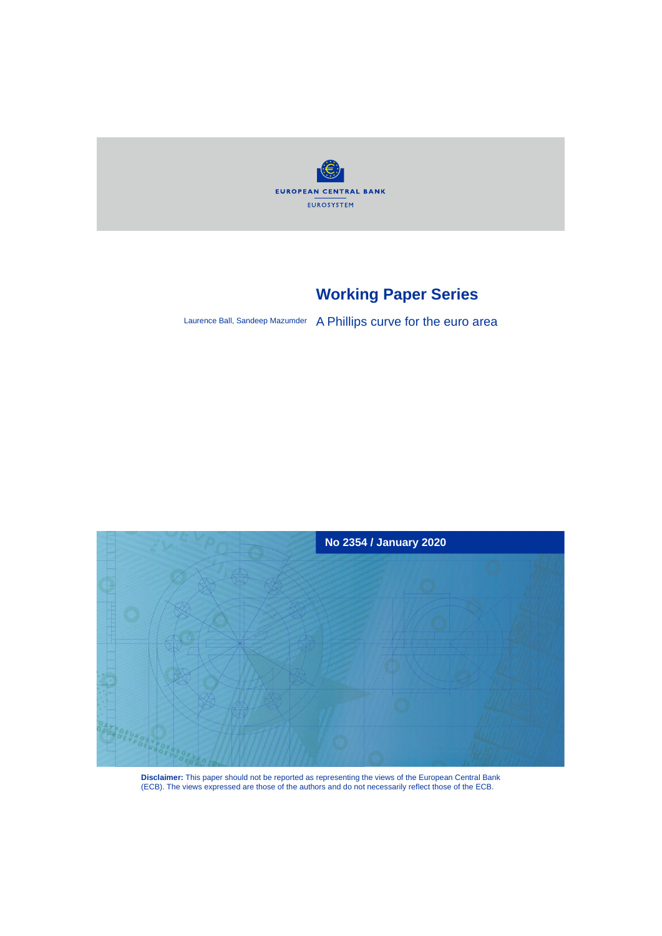

# **Working Paper Series**

Laurence Ball, Sandeep Mazumder A Phillips curve for the euro area



**Disclaimer:** This paper should not be reported as representing the views of the European Central Bank (ECB). The views expressed are those of the authors and do not necessarily reflect those of the ECB.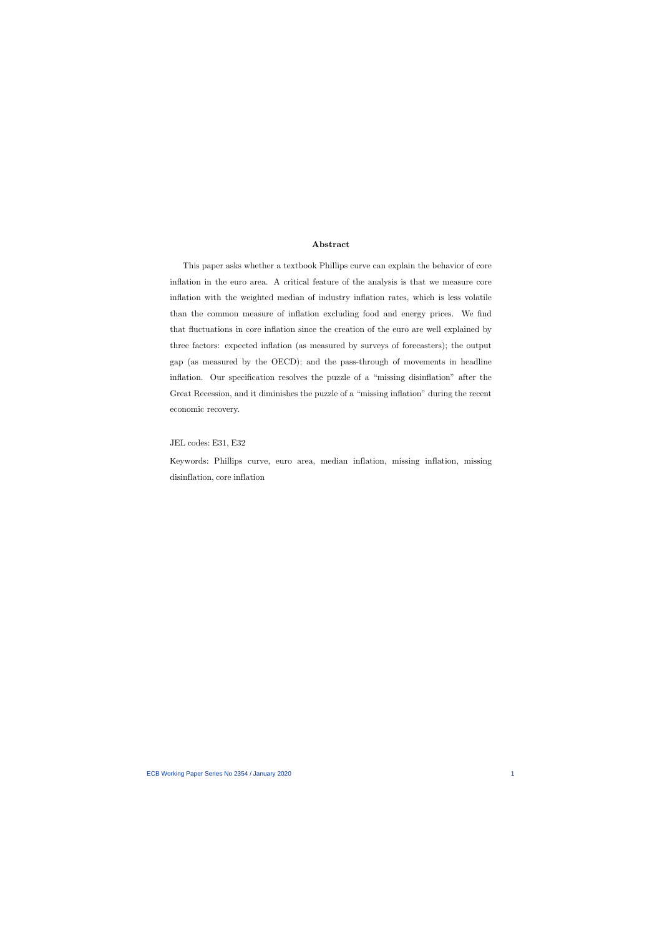### **Abstract**

This paper asks whether a textbook Phillips curve can explain the behavior of core inflation in the euro area. A critical feature of the analysis is that we measure core inflation with the weighted median of industry inflation rates, which is less volatile than the common measure of inflation excluding food and energy prices. We find that fluctuations in core inflation since the creation of the euro are well explained by three factors: expected inflation (as measured by surveys of forecasters); the output gap (as measured by the OECD); and the pass-through of movements in headline inflation. Our specification resolves the puzzle of a "missing disinflation" after the Great Recession, and it diminishes the puzzle of a "missing inflation" during the recent economic recovery.

JEL codes: E31, E32

Keywords: Phillips curve, euro area, median inflation, missing inflation, missing disinflation, core inflation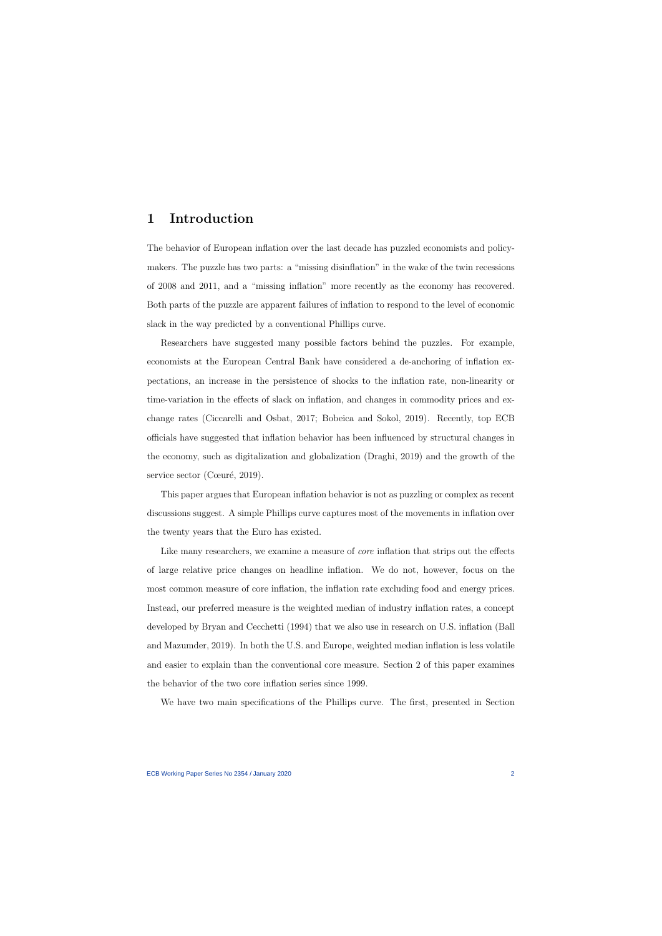### **1 Introduction**

The behavior of European inflation over the last decade has puzzled economists and policymakers. The puzzle has two parts: a "missing disinflation" in the wake of the twin recessions of 2008 and 2011, and a "missing inflation" more recently as the economy has recovered. Both parts of the puzzle are apparent failures of inflation to respond to the level of economic slack in the way predicted by a conventional Phillips curve.

Researchers have suggested many possible factors behind the puzzles. For example, economists at the European Central Bank have considered a de-anchoring of inflation expectations, an increase in the persistence of shocks to the inflation rate, non-linearity or time-variation in the effects of slack on inflation, and changes in commodity prices and exchange rates (Ciccarelli and Osbat, 2017; Bobeica and Sokol, 2019). Recently, top ECB officials have suggested that inflation behavior has been influenced by structural changes in the economy, such as digitalization and globalization (Draghi, 2019) and the growth of the service sector (Cœuré, 2019).

This paper argues that European inflation behavior is not as puzzling or complex as recent discussions suggest. A simple Phillips curve captures most of the movements in inflation over the twenty years that the Euro has existed.

Like many researchers, we examine a measure of *core* inflation that strips out the effects of large relative price changes on headline inflation. We do not, however, focus on the most common measure of core inflation, the inflation rate excluding food and energy prices. Instead, our preferred measure is the weighted median of industry inflation rates, a concept developed by Bryan and Cecchetti (1994) that we also use in research on U.S. inflation (Ball and Mazumder, 2019). In both the U.S. and Europe, weighted median inflation is less volatile and easier to explain than the conventional core measure. Section 2 of this paper examines the behavior of the two core inflation series since 1999.

We have two main specifications of the Phillips curve. The first, presented in Section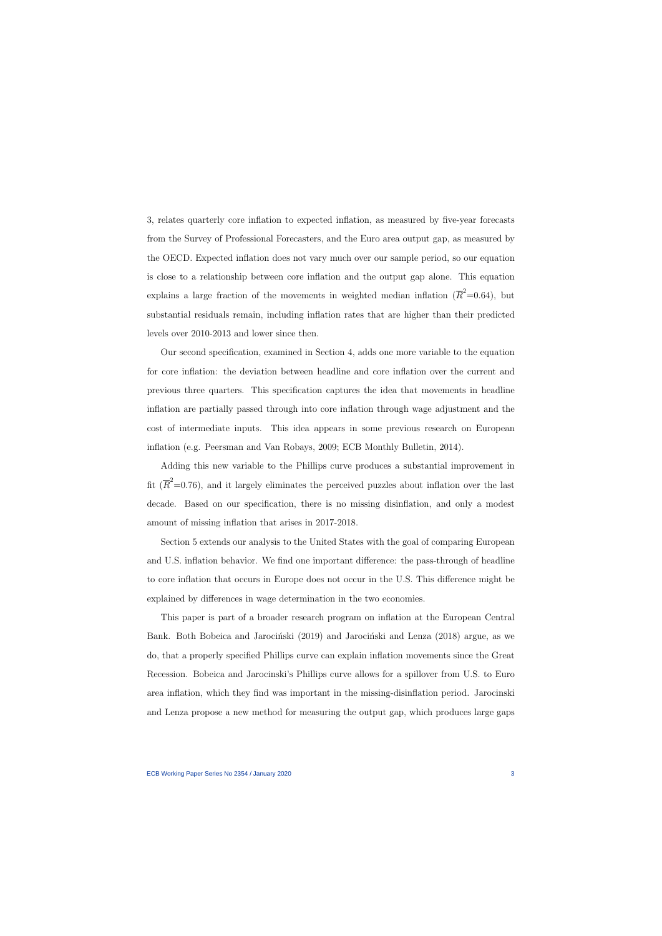3, relates quarterly core inflation to expected inflation, as measured by five-year forecasts from the Survey of Professional Forecasters, and the Euro area output gap, as measured by the OECD. Expected inflation does not vary much over our sample period, so our equation is close to a relationship between core inflation and the output gap alone. This equation explains a large fraction of the movements in weighted median inflation  $(\overline{R}^2=0.64)$ , but substantial residuals remain, including inflation rates that are higher than their predicted levels over 2010-2013 and lower since then.

Our second specification, examined in Section 4, adds one more variable to the equation for core inflation: the deviation between headline and core inflation over the current and previous three quarters. This specification captures the idea that movements in headline inflation are partially passed through into core inflation through wage adjustment and the cost of intermediate inputs. This idea appears in some previous research on European inflation (e.g. Peersman and Van Robays, 2009; ECB Monthly Bulletin, 2014).

Adding this new variable to the Phillips curve produces a substantial improvement in fit  $(\overline{R}^2=0.76)$ , and it largely eliminates the perceived puzzles about inflation over the last decade. Based on our specification, there is no missing disinflation, and only a modest amount of missing inflation that arises in 2017-2018.

Section 5 extends our analysis to the United States with the goal of comparing European and U.S. inflation behavior. We find one important difference: the pass-through of headline to core inflation that occurs in Europe does not occur in the U.S. This difference might be explained by differences in wage determination in the two economies.

This paper is part of a broader research program on inflation at the European Central Bank. Both Bobeica and Jarociński (2019) and Jarociński and Lenza (2018) argue, as we do, that a properly specified Phillips curve can explain inflation movements since the Great Recession. Bobeica and Jarocinski's Phillips curve allows for a spillover from U.S. to Euro area inflation, which they find was important in the missing-disinflation period. Jarocinski and Lenza propose a new method for measuring the output gap, which produces large gaps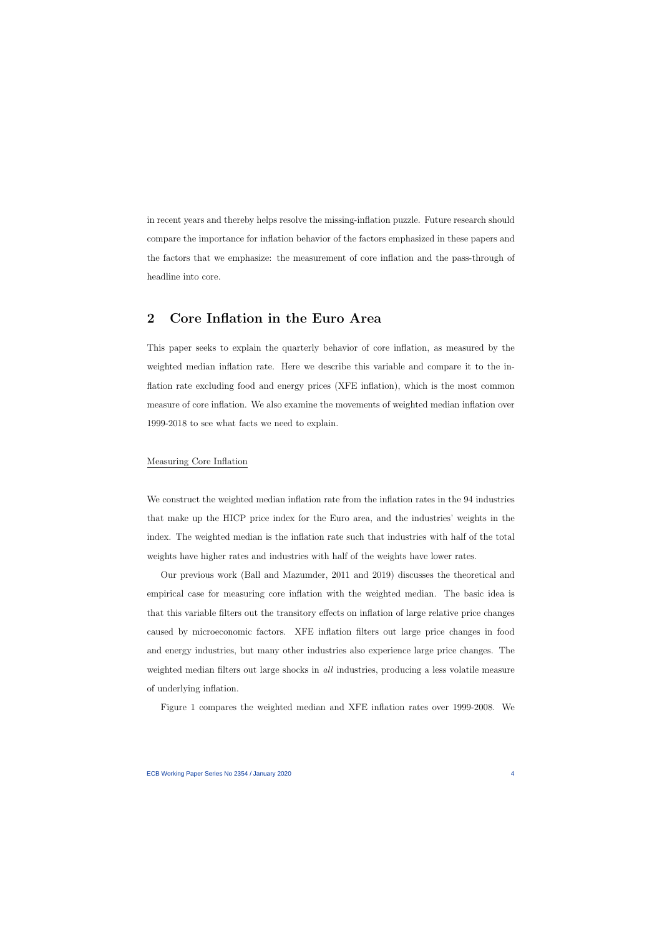in recent years and thereby helps resolve the missing-inflation puzzle. Future research should compare the importance for inflation behavior of the factors emphasized in these papers and the factors that we emphasize: the measurement of core inflation and the pass-through of headline into core.

# **2 Core Inflation in the Euro Area**

This paper seeks to explain the quarterly behavior of core inflation, as measured by the weighted median inflation rate. Here we describe this variable and compare it to the inflation rate excluding food and energy prices (XFE inflation), which is the most common measure of core inflation. We also examine the movements of weighted median inflation over 1999-2018 to see what facts we need to explain.

### Measuring Core Inflation

We construct the weighted median inflation rate from the inflation rates in the 94 industries that make up the HICP price index for the Euro area, and the industries' weights in the index. The weighted median is the inflation rate such that industries with half of the total weights have higher rates and industries with half of the weights have lower rates.

Our previous work (Ball and Mazumder, 2011 and 2019) discusses the theoretical and empirical case for measuring core inflation with the weighted median. The basic idea is that this variable filters out the transitory effects on inflation of large relative price changes caused by microeconomic factors. XFE inflation filters out large price changes in food and energy industries, but many other industries also experience large price changes. The weighted median filters out large shocks in *all* industries, producing a less volatile measure of underlying inflation.

Figure 1 compares the weighted median and XFE inflation rates over 1999-2008. We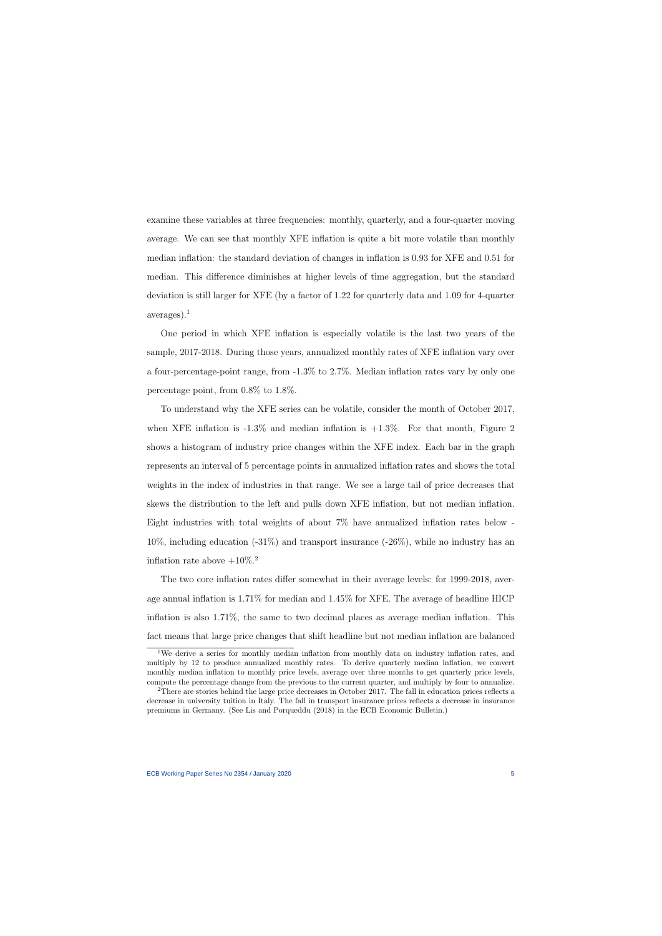examine these variables at three frequencies: monthly, quarterly, and a four-quarter moving average. We can see that monthly XFE inflation is quite a bit more volatile than monthly median inflation: the standard deviation of changes in inflation is 0.93 for XFE and 0.51 for median. This difference diminishes at higher levels of time aggregation, but the standard deviation is still larger for XFE (by a factor of 1.22 for quarterly data and 1.09 for 4-quarter averages).<sup>1</sup>

One period in which XFE inflation is especially volatile is the last two years of the sample, 2017-2018. During those years, annualized monthly rates of XFE inflation vary over a four-percentage-point range, from -1.3% to 2.7%. Median inflation rates vary by only one percentage point, from 0.8% to 1.8%.

To understand why the XFE series can be volatile, consider the month of October 2017, when XFE inflation is  $-1.3\%$  and median inflation is  $+1.3\%$ . For that month, Figure 2 shows a histogram of industry price changes within the XFE index. Each bar in the graph represents an interval of 5 percentage points in annualized inflation rates and shows the total weights in the index of industries in that range. We see a large tail of price decreases that skews the distribution to the left and pulls down XFE inflation, but not median inflation. Eight industries with total weights of about 7% have annualized inflation rates below -  $10\%$ , including education  $(-31\%)$  and transport insurance  $(-26\%)$ , while no industry has an inflation rate above  $+10\%$ <sup>2</sup>

The two core inflation rates differ somewhat in their average levels: for 1999-2018, average annual inflation is 1.71% for median and 1.45% for XFE. The average of headline HICP inflation is also 1.71%, the same to two decimal places as average median inflation. This fact means that large price changes that shift headline but not median inflation are balanced

<sup>&</sup>lt;sup>1</sup>We derive a series for monthly median inflation from monthly data on industry inflation rates, and multiply by 12 to produce annualized monthly rates. To derive quarterly median inflation, we convert monthly median inflation to monthly price levels, average over three months to get quarterly price levels, compute the percentage change from the previous to the current quarter, and multiply by four to annualize.

<sup>2</sup>There are stories behind the large price decreases in October 2017. The fall in education prices reflects a decrease in university tuition in Italy. The fall in transport insurance prices reflects a decrease in insurance premiums in Germany. (See Lis and Porqueddu (2018) in the ECB Economic Bulletin.)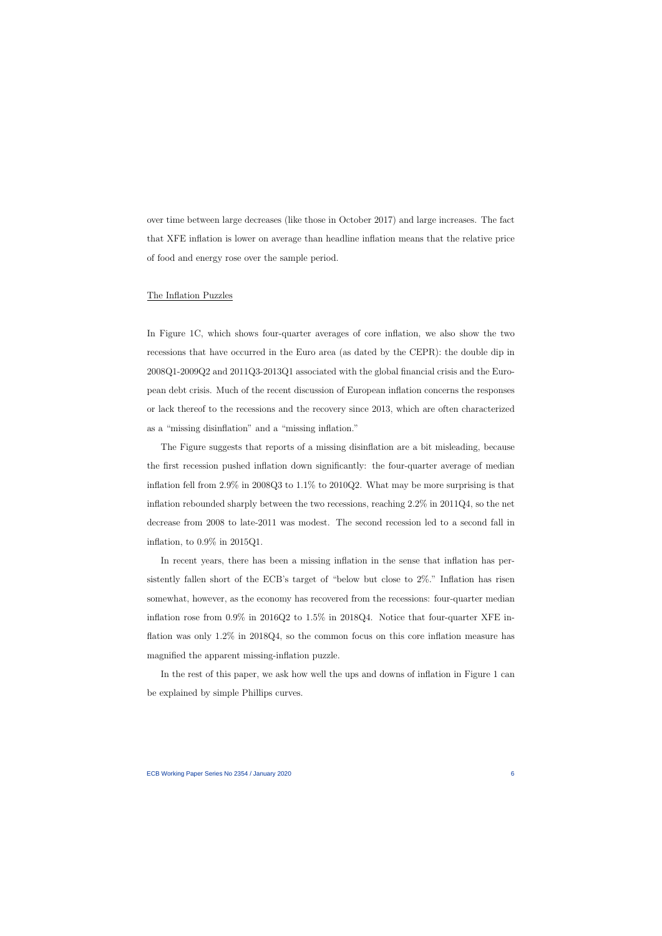over time between large decreases (like those in October 2017) and large increases. The fact that XFE inflation is lower on average than headline inflation means that the relative price of food and energy rose over the sample period.

#### The Inflation Puzzles

In Figure 1C, which shows four-quarter averages of core inflation, we also show the two recessions that have occurred in the Euro area (as dated by the CEPR): the double dip in 2008Q1-2009Q2 and 2011Q3-2013Q1 associated with the global financial crisis and the European debt crisis. Much of the recent discussion of European inflation concerns the responses or lack thereof to the recessions and the recovery since 2013, which are often characterized as a "missing disinflation" and a "missing inflation."

The Figure suggests that reports of a missing disinflation are a bit misleading, because the first recession pushed inflation down significantly: the four-quarter average of median inflation fell from 2.9% in 2008Q3 to 1.1% to 2010Q2. What may be more surprising is that inflation rebounded sharply between the two recessions, reaching 2.2% in 2011Q4, so the net decrease from 2008 to late-2011 was modest. The second recession led to a second fall in inflation, to 0.9% in 2015Q1.

In recent years, there has been a missing inflation in the sense that inflation has persistently fallen short of the ECB's target of "below but close to 2%." Inflation has risen somewhat, however, as the economy has recovered from the recessions: four-quarter median inflation rose from 0.9% in 2016Q2 to 1.5% in 2018Q4. Notice that four-quarter XFE inflation was only 1.2% in 2018Q4, so the common focus on this core inflation measure has magnified the apparent missing-inflation puzzle.

In the rest of this paper, we ask how well the ups and downs of inflation in Figure 1 can be explained by simple Phillips curves.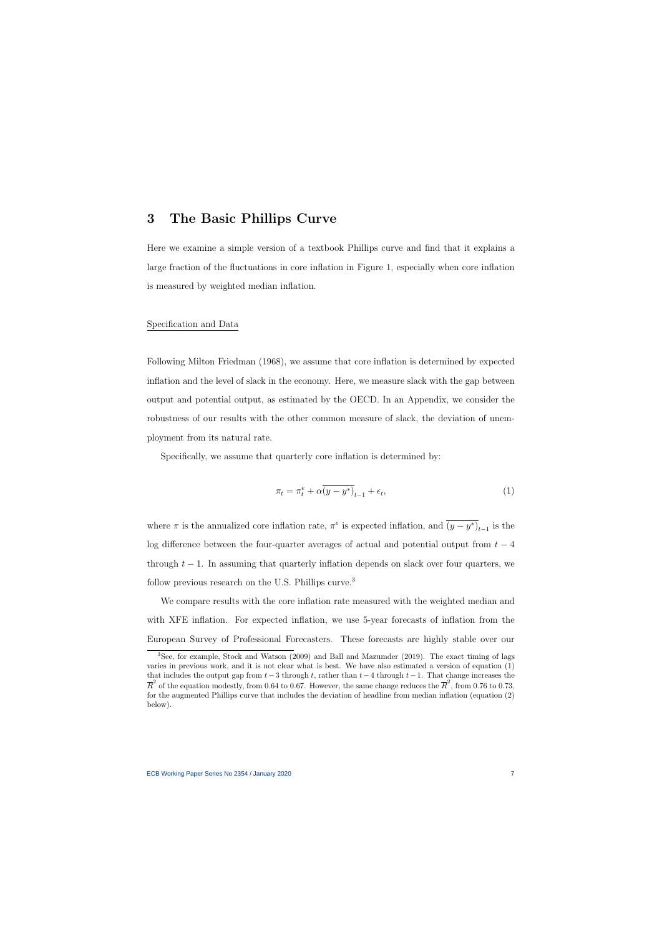### **3 The Basic Phillips Curve**

Here we examine a simple version of a textbook Phillips curve and find that it explains a large fraction of the fluctuations in core inflation in Figure 1, especially when core inflation is measured by weighted median inflation.

### Specification and Data

Following Milton Friedman (1968), we assume that core inflation is determined by expected inflation and the level of slack in the economy. Here, we measure slack with the gap between output and potential output, as estimated by the OECD. In an Appendix, we consider the robustness of our results with the other common measure of slack, the deviation of unemployment from its natural rate.

Specifically, we assume that quarterly core inflation is determined by:

$$
\pi_t = \pi_t^e + \alpha \overline{(y - y^*)}_{t-1} + \epsilon_t,\tag{1}
$$

where  $\pi$  is the annualized core inflation rate,  $\pi^e$  is expected inflation, and  $\overline{(y-y^*)}_{t-1}$  is the log difference between the four-quarter averages of actual and potential output from *t −* 4 through  $t-1$ . In assuming that quarterly inflation depends on slack over four quarters, we follow previous research on the U.S. Phillips curve.<sup>3</sup>

We compare results with the core inflation rate measured with the weighted median and with XFE inflation. For expected inflation, we use 5-year forecasts of inflation from the European Survey of Professional Forecasters. These forecasts are highly stable over our

<sup>3</sup>See, for example, Stock and Watson (2009) and Ball and Mazumder (2019). The exact timing of lags varies in previous work, and it is not clear what is best. We have also estimated a version of equation (1) that includes the output gap from *t−*3 through *t*, rather than *t−*4 through *t−*1. That change increases the  $\overline{R}^2$  of the equation modestly, from 0.64 to 0.67. However, the same change reduces the  $\overline{R}^2$ , from 0.76 to 0.73, for the augmented Phillips curve that includes the deviation of headline from median inflation (equation (2) below).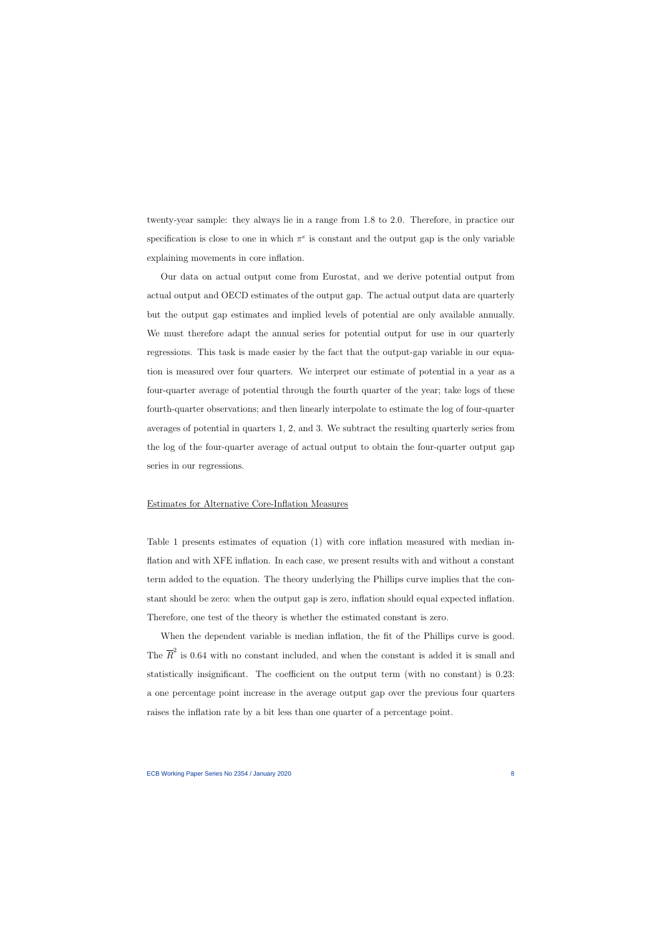twenty-year sample: they always lie in a range from 1.8 to 2.0. Therefore, in practice our specification is close to one in which  $\pi^e$  is constant and the output gap is the only variable explaining movements in core inflation.

Our data on actual output come from Eurostat, and we derive potential output from actual output and OECD estimates of the output gap. The actual output data are quarterly but the output gap estimates and implied levels of potential are only available annually. We must therefore adapt the annual series for potential output for use in our quarterly regressions. This task is made easier by the fact that the output-gap variable in our equation is measured over four quarters. We interpret our estimate of potential in a year as a four-quarter average of potential through the fourth quarter of the year; take logs of these fourth-quarter observations; and then linearly interpolate to estimate the log of four-quarter averages of potential in quarters 1, 2, and 3. We subtract the resulting quarterly series from the log of the four-quarter average of actual output to obtain the four-quarter output gap series in our regressions.

### Estimates for Alternative Core-Inflation Measures

Table 1 presents estimates of equation (1) with core inflation measured with median inflation and with XFE inflation. In each case, we present results with and without a constant term added to the equation. The theory underlying the Phillips curve implies that the constant should be zero: when the output gap is zero, inflation should equal expected inflation. Therefore, one test of the theory is whether the estimated constant is zero.

When the dependent variable is median inflation, the fit of the Phillips curve is good. The  $\overline{R}^2$  is 0.64 with no constant included, and when the constant is added it is small and statistically insignificant. The coefficient on the output term (with no constant) is 0.23: a one percentage point increase in the average output gap over the previous four quarters raises the inflation rate by a bit less than one quarter of a percentage point.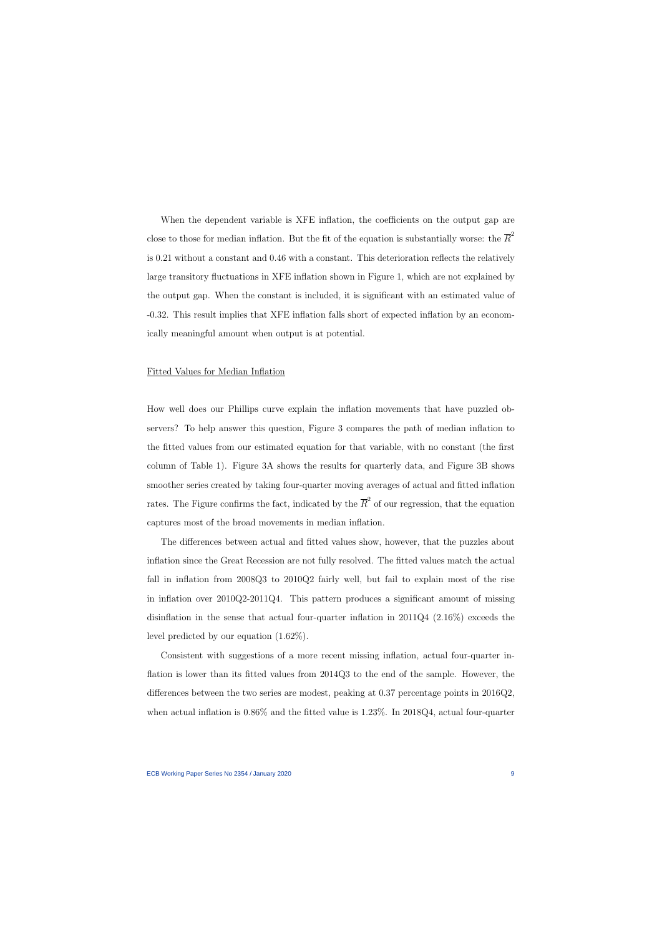When the dependent variable is XFE inflation, the coefficients on the output gap are close to those for median inflation. But the fit of the equation is substantially worse: the  $\overline{R}^2$ is 0.21 without a constant and 0.46 with a constant. This deterioration reflects the relatively large transitory fluctuations in XFE inflation shown in Figure 1, which are not explained by the output gap. When the constant is included, it is significant with an estimated value of -0.32. This result implies that XFE inflation falls short of expected inflation by an economically meaningful amount when output is at potential.

#### Fitted Values for Median Inflation

How well does our Phillips curve explain the inflation movements that have puzzled observers? To help answer this question, Figure 3 compares the path of median inflation to the fitted values from our estimated equation for that variable, with no constant (the first column of Table 1). Figure 3A shows the results for quarterly data, and Figure 3B shows smoother series created by taking four-quarter moving averages of actual and fitted inflation rates. The Figure confirms the fact, indicated by the  $\overline{R}^2$  of our regression, that the equation captures most of the broad movements in median inflation.

The differences between actual and fitted values show, however, that the puzzles about inflation since the Great Recession are not fully resolved. The fitted values match the actual fall in inflation from 2008Q3 to 2010Q2 fairly well, but fail to explain most of the rise in inflation over 2010Q2-2011Q4. This pattern produces a significant amount of missing disinflation in the sense that actual four-quarter inflation in 2011Q4 (2.16%) exceeds the level predicted by our equation (1.62%).

Consistent with suggestions of a more recent missing inflation, actual four-quarter inflation is lower than its fitted values from 2014Q3 to the end of the sample. However, the differences between the two series are modest, peaking at 0.37 percentage points in 2016Q2, when actual inflation is  $0.86\%$  and the fitted value is 1.23%. In 2018Q4, actual four-quarter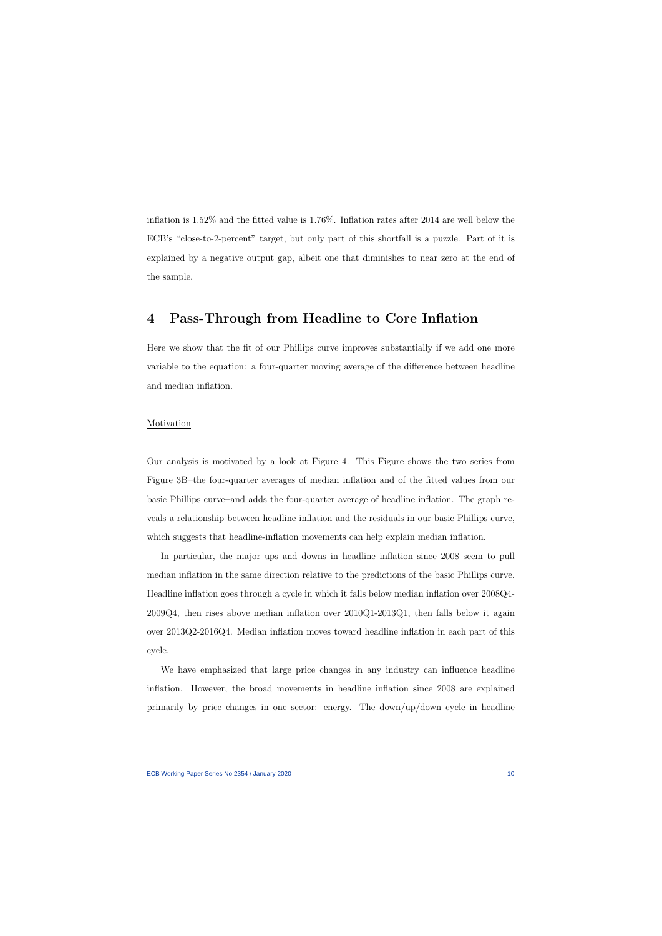inflation is 1.52% and the fitted value is 1.76%. Inflation rates after 2014 are well below the ECB's "close-to-2-percent" target, but only part of this shortfall is a puzzle. Part of it is explained by a negative output gap, albeit one that diminishes to near zero at the end of the sample.

### **4 Pass-Through from Headline to Core Inflation**

Here we show that the fit of our Phillips curve improves substantially if we add one more variable to the equation: a four-quarter moving average of the difference between headline and median inflation.

#### Motivation

Our analysis is motivated by a look at Figure 4. This Figure shows the two series from Figure 3B**–**the four-quarter averages of median inflation and of the fitted values from our basic Phillips curve**–**and adds the four-quarter average of headline inflation. The graph reveals a relationship between headline inflation and the residuals in our basic Phillips curve, which suggests that headline-inflation movements can help explain median inflation.

In particular, the major ups and downs in headline inflation since 2008 seem to pull median inflation in the same direction relative to the predictions of the basic Phillips curve. Headline inflation goes through a cycle in which it falls below median inflation over 2008Q4- 2009Q4, then rises above median inflation over 2010Q1-2013Q1, then falls below it again over 2013Q2-2016Q4. Median inflation moves toward headline inflation in each part of this cycle.

We have emphasized that large price changes in any industry can influence headline inflation. However, the broad movements in headline inflation since 2008 are explained primarily by price changes in one sector: energy. The down/up/down cycle in headline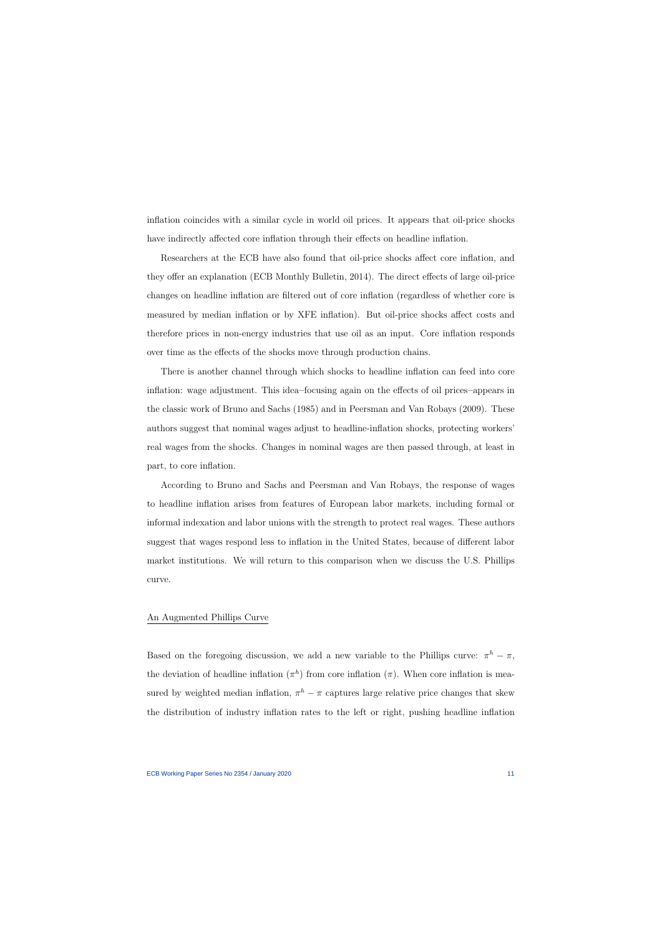inflation coincides with a similar cycle in world oil prices. It appears that oil-price shocks have indirectly affected core inflation through their effects on headline inflation.

Researchers at the ECB have also found that oil-price shocks affect core inflation, and they offer an explanation (ECB Monthly Bulletin, 2014). The direct effects of large oil-price changes on headline inflation are filtered out of core inflation (regardless of whether core is measured by median inflation or by XFE inflation). But oil-price shocks affect costs and therefore prices in non-energy industries that use oil as an input. Core inflation responds over time as the effects of the shocks move through production chains.

There is another channel through which shocks to headline inflation can feed into core inflation: wage adjustment. This idea**–**focusing again on the effects of oil prices**–**appears in the classic work of Bruno and Sachs (1985) and in Peersman and Van Robays (2009). These authors suggest that nominal wages adjust to headline-inflation shocks, protecting workers' real wages from the shocks. Changes in nominal wages are then passed through, at least in part, to core inflation.

According to Bruno and Sachs and Peersman and Van Robays, the response of wages to headline inflation arises from features of European labor markets, including formal or informal indexation and labor unions with the strength to protect real wages. These authors suggest that wages respond less to inflation in the United States, because of different labor market institutions. We will return to this comparison when we discuss the U.S. Phillips curve.

#### An Augmented Phillips Curve

Based on the foregoing discussion, we add a new variable to the Phillips curve:  $\pi^h - \pi$ , the deviation of headline inflation  $(\pi^h)$  from core inflation  $(\pi)$ . When core inflation is measured by weighted median inflation,  $\pi^h - \pi$  captures large relative price changes that skew the distribution of industry inflation rates to the left or right, pushing headline inflation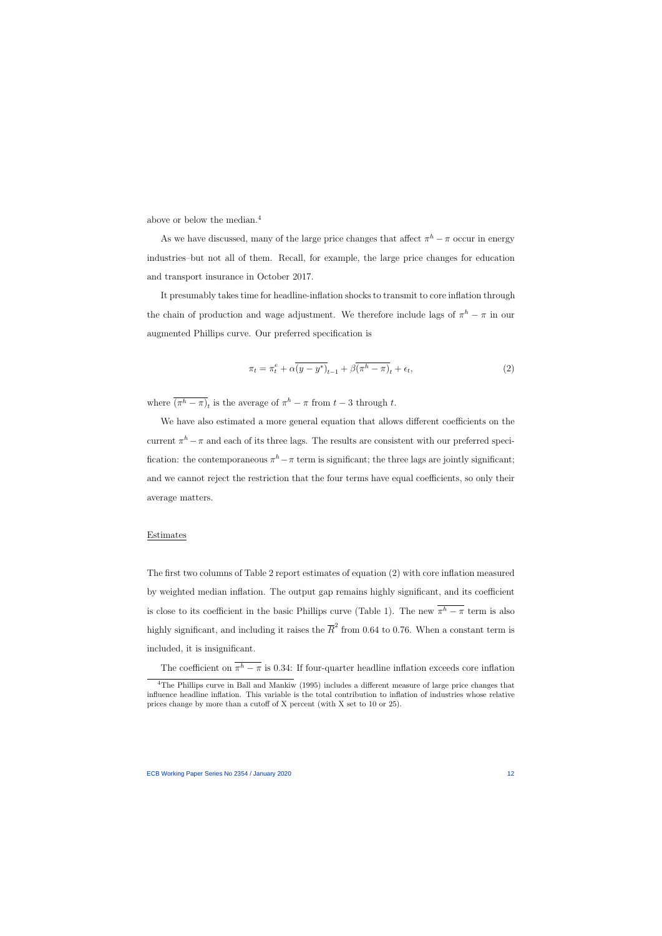above or below the median.<sup>4</sup>

As we have discussed, many of the large price changes that affect  $\pi^h - \pi$  occur in energy industries–but not all of them. Recall, for example, the large price changes for education and transport insurance in October 2017.

It presumably takes time for headline-inflation shocks to transmit to core inflation through the chain of production and wage adjustment. We therefore include lags of  $\pi^h - \pi$  in our augmented Phillips curve. Our preferred specification is

$$
\pi_t = \pi_t^e + \alpha \overline{(y - y^*)}_{t-1} + \beta \overline{(\pi^h - \pi)}_t + \epsilon_t,
$$
\n(2)

where  $\overline{(\pi^h - \pi)}_t$  is the average of  $\pi^h - \pi$  from  $t - 3$  through  $t$ .

We have also estimated a more general equation that allows different coefficients on the current  $\pi^h - \pi$  and each of its three lags. The results are consistent with our preferred specification: the contemporaneous  $\pi^h - \pi$  term is significant; the three lags are jointly significant; and we cannot reject the restriction that the four terms have equal coefficients, so only their average matters.

#### Estimates

The first two columns of Table 2 report estimates of equation (2) with core inflation measured by weighted median inflation. The output gap remains highly significant, and its coefficient is close to its coefficient in the basic Phillips curve (Table 1). The new  $\pi^h - \pi$  term is also highly significant, and including it raises the  $\overline{R}^2$  from 0.64 to 0.76. When a constant term is included, it is insignificant.

The coefficient on  $\pi^h - \pi$  is 0.34: If four-quarter headline inflation exceeds core inflation

<sup>&</sup>lt;sup>4</sup>The Phillips curve in Ball and Mankiw (1995) includes a different measure of large price changes that influence headline inflation. This variable is the total contribution to inflation of industries whose relative prices change by more than a cutoff of X percent (with X set to 10 or 25).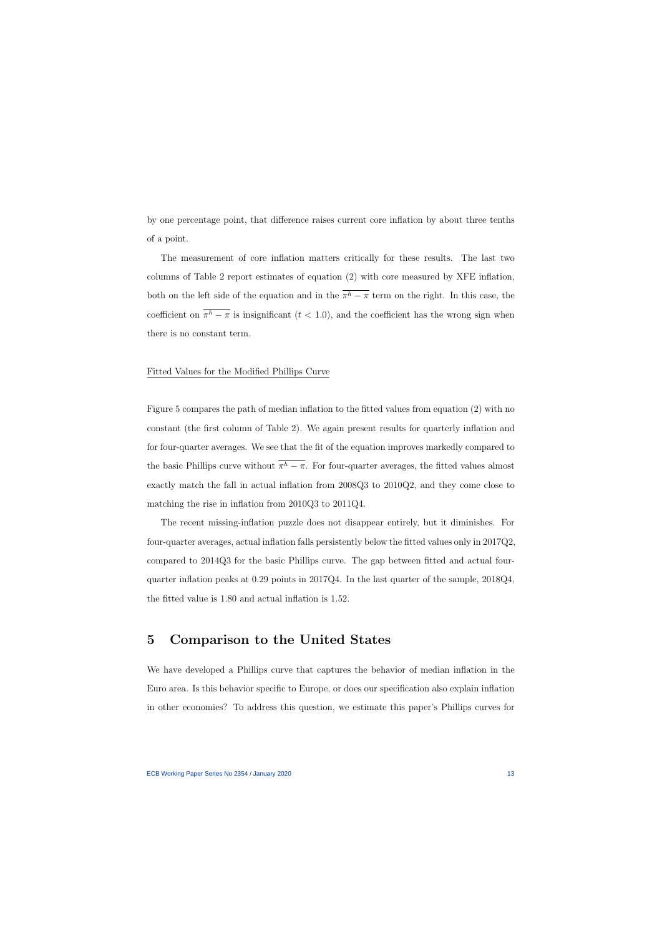by one percentage point, that difference raises current core inflation by about three tenths of a point.

The measurement of core inflation matters critically for these results. The last two columns of Table 2 report estimates of equation (2) with core measured by XFE inflation, both on the left side of the equation and in the  $\pi^h - \pi$  term on the right. In this case, the coefficient on  $\pi^h - \pi$  is insignificant ( $t < 1.0$ ), and the coefficient has the wrong sign when there is no constant term.

#### Fitted Values for the Modified Phillips Curve

Figure 5 compares the path of median inflation to the fitted values from equation (2) with no constant (the first column of Table 2). We again present results for quarterly inflation and for four-quarter averages. We see that the fit of the equation improves markedly compared to the basic Phillips curve without  $\pi^h - \pi$ . For four-quarter averages, the fitted values almost exactly match the fall in actual inflation from 2008Q3 to 2010Q2, and they come close to matching the rise in inflation from 2010Q3 to 2011Q4.

The recent missing-inflation puzzle does not disappear entirely, but it diminishes. For four-quarter averages, actual inflation falls persistently below the fitted values only in 2017Q2, compared to 2014Q3 for the basic Phillips curve. The gap between fitted and actual fourquarter inflation peaks at 0.29 points in 2017Q4. In the last quarter of the sample, 2018Q4, the fitted value is 1.80 and actual inflation is 1.52.

### **5 Comparison to the United States**

We have developed a Phillips curve that captures the behavior of median inflation in the Euro area. Is this behavior specific to Europe, or does our specification also explain inflation in other economies? To address this question, we estimate this paper's Phillips curves for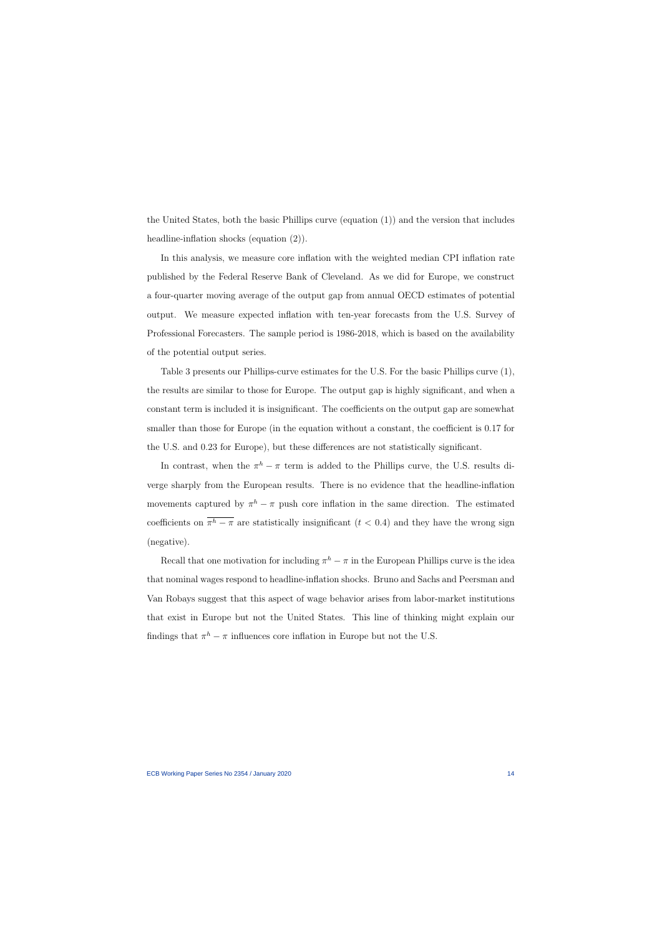the United States, both the basic Phillips curve (equation (1)) and the version that includes headline-inflation shocks (equation  $(2)$ ).

In this analysis, we measure core inflation with the weighted median CPI inflation rate published by the Federal Reserve Bank of Cleveland. As we did for Europe, we construct a four-quarter moving average of the output gap from annual OECD estimates of potential output. We measure expected inflation with ten-year forecasts from the U.S. Survey of Professional Forecasters. The sample period is 1986-2018, which is based on the availability of the potential output series.

Table 3 presents our Phillips-curve estimates for the U.S. For the basic Phillips curve (1), the results are similar to those for Europe. The output gap is highly significant, and when a constant term is included it is insignificant. The coefficients on the output gap are somewhat smaller than those for Europe (in the equation without a constant, the coefficient is 0.17 for the U.S. and 0.23 for Europe), but these differences are not statistically significant.

In contrast, when the  $\pi^h - \pi$  term is added to the Phillips curve, the U.S. results diverge sharply from the European results. There is no evidence that the headline-inflation movements captured by  $\pi^h - \pi$  push core inflation in the same direction. The estimated coefficients on  $\pi^h - \pi$  are statistically insignificant (*t* < 0.4) and they have the wrong sign (negative).

Recall that one motivation for including  $\pi^h - \pi$  in the European Phillips curve is the idea that nominal wages respond to headline-inflation shocks. Bruno and Sachs and Peersman and Van Robays suggest that this aspect of wage behavior arises from labor-market institutions that exist in Europe but not the United States. This line of thinking might explain our findings that  $\pi^h - \pi$  influences core inflation in Europe but not the U.S.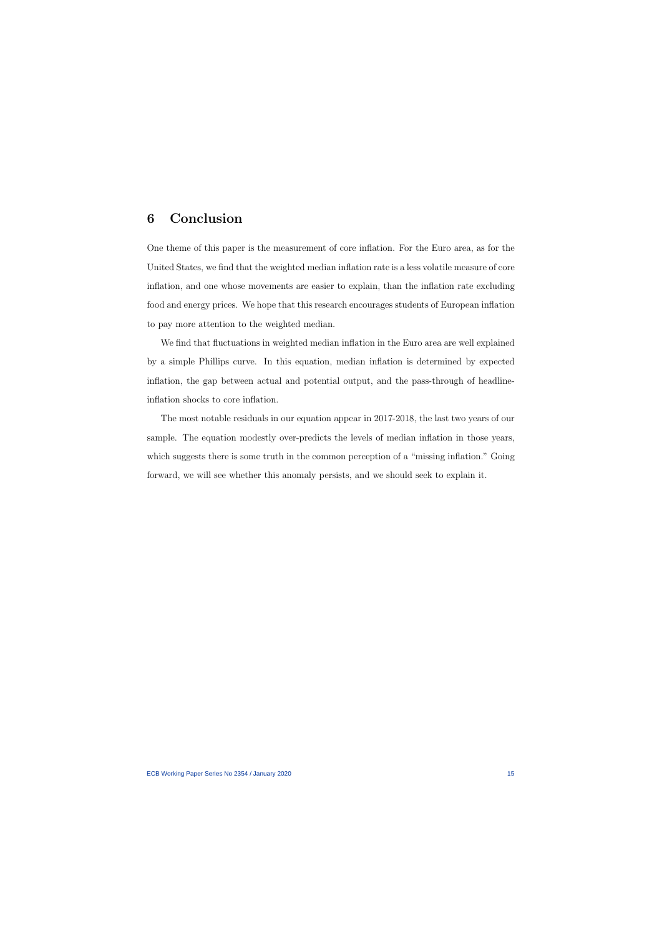# **6 Conclusion**

One theme of this paper is the measurement of core inflation. For the Euro area, as for the United States, we find that the weighted median inflation rate is a less volatile measure of core inflation, and one whose movements are easier to explain, than the inflation rate excluding food and energy prices. We hope that this research encourages students of European inflation to pay more attention to the weighted median.

We find that fluctuations in weighted median inflation in the Euro area are well explained by a simple Phillips curve. In this equation, median inflation is determined by expected inflation, the gap between actual and potential output, and the pass-through of headlineinflation shocks to core inflation.

The most notable residuals in our equation appear in 2017-2018, the last two years of our sample. The equation modestly over-predicts the levels of median inflation in those years, which suggests there is some truth in the common perception of a "missing inflation." Going forward, we will see whether this anomaly persists, and we should seek to explain it.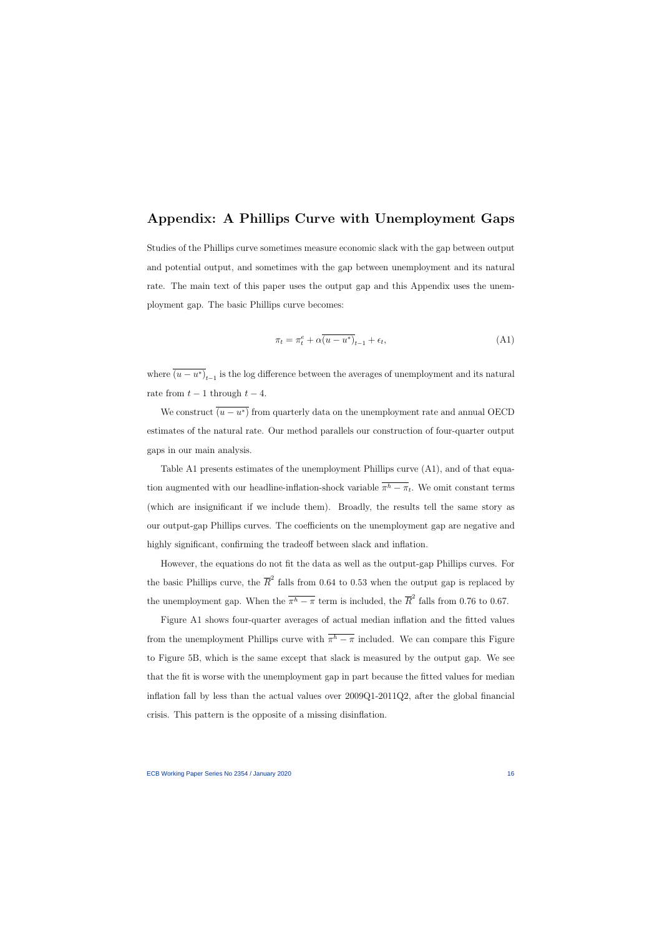## **Appendix: A Phillips Curve with Unemployment Gaps**

Studies of the Phillips curve sometimes measure economic slack with the gap between output and potential output, and sometimes with the gap between unemployment and its natural rate. The main text of this paper uses the output gap and this Appendix uses the unemployment gap. The basic Phillips curve becomes:

$$
\pi_t = \pi_t^e + \alpha \overline{(u - u^*)}_{t-1} + \epsilon_t,
$$
\n(A1)

where  $(u - u^*)_{t-1}$  is the log difference between the averages of unemployment and its natural rate from  $t-1$  through  $t-4$ .

We construct  $(u - u^*)$  from quarterly data on the unemployment rate and annual OECD estimates of the natural rate. Our method parallels our construction of four-quarter output gaps in our main analysis.

Table A1 presents estimates of the unemployment Phillips curve (A1), and of that equation augmented with our headline-inflation-shock variable  $\pi^h - \pi_t$ . We omit constant terms (which are insignificant if we include them). Broadly, the results tell the same story as our output-gap Phillips curves. The coefficients on the unemployment gap are negative and highly significant, confirming the tradeoff between slack and inflation.

However, the equations do not fit the data as well as the output-gap Phillips curves. For the basic Phillips curve, the  $\overline{R}^2$  falls from 0.64 to 0.53 when the output gap is replaced by the unemployment gap. When the  $\overline{\pi^h - \pi}$  term is included, the  $\overline{R}^2$  falls from 0.76 to 0.67.

Figure A1 shows four-quarter averages of actual median inflation and the fitted values from the unemployment Phillips curve with  $\pi^h - \pi$  included. We can compare this Figure to Figure 5B, which is the same except that slack is measured by the output gap. We see that the fit is worse with the unemployment gap in part because the fitted values for median inflation fall by less than the actual values over 2009Q1-2011Q2, after the global financial crisis. This pattern is the opposite of a missing disinflation.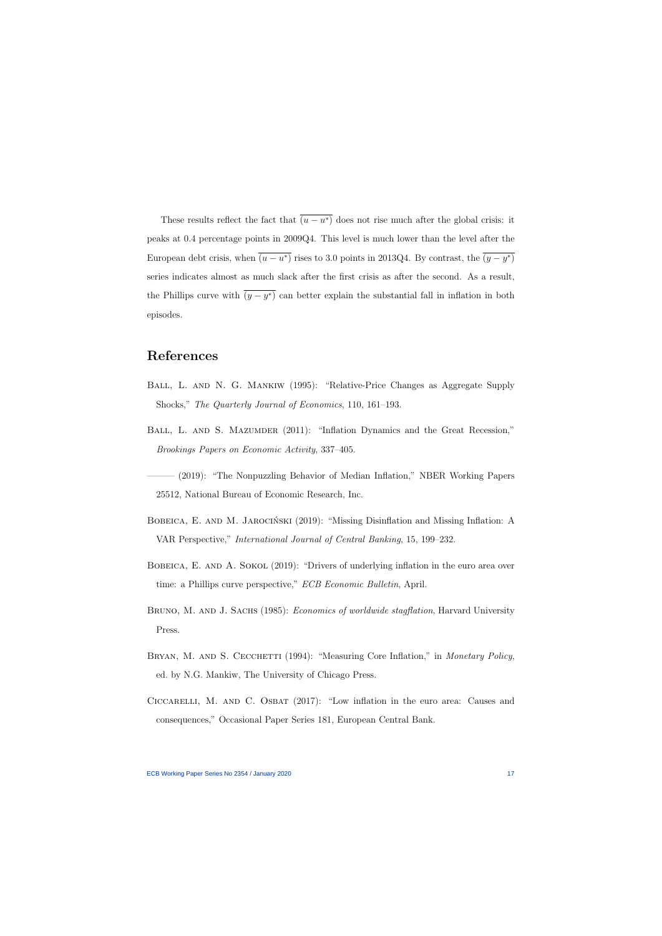These results reflect the fact that  $(u - u^*)$  does not rise much after the global crisis: it peaks at 0.4 percentage points in 2009Q4. This level is much lower than the level after the European debt crisis, when  $(u - u^*)$  rises to 3.0 points in 2013Q4. By contrast, the  $(y - y^*)$ series indicates almost as much slack after the first crisis as after the second. As a result, the Phillips curve with  $(y - y^*)$  can better explain the substantial fall in inflation in both episodes.

### **References**

- Ball, L. and N. G. Mankiw (1995): "Relative-Price Changes as Aggregate Supply Shocks," *The Quarterly Journal of Economics*, 110, 161–193.
- BALL, L. AND S. MAZUMDER (2011): "Inflation Dynamics and the Great Recession," *Brookings Papers on Economic Activity*, 337–405.
- (2019): "The Nonpuzzling Behavior of Median Inflation," NBER Working Papers 25512, National Bureau of Economic Research, Inc.
- BOBEICA, E. AND M. JAROCIŃSKI (2019): "Missing Disinflation and Missing Inflation: A VAR Perspective," *International Journal of Central Banking*, 15, 199–232.
- BOBEICA, E. AND A. SOKOL (2019): "Drivers of underlying inflation in the euro area over time: a Phillips curve perspective," *ECB Economic Bulletin*, April.
- BRUNO, M. AND J. SACHS (1985): *Economics of worldwide stagflation*, Harvard University Press.
- BRYAN, M. AND S. CECCHETTI (1994): "Measuring Core Inflation," in *Monetary Policy*, ed. by N.G. Mankiw, The University of Chicago Press.
- Ciccarelli, M. and C. Osbat (2017): "Low inflation in the euro area: Causes and consequences," Occasional Paper Series 181, European Central Bank.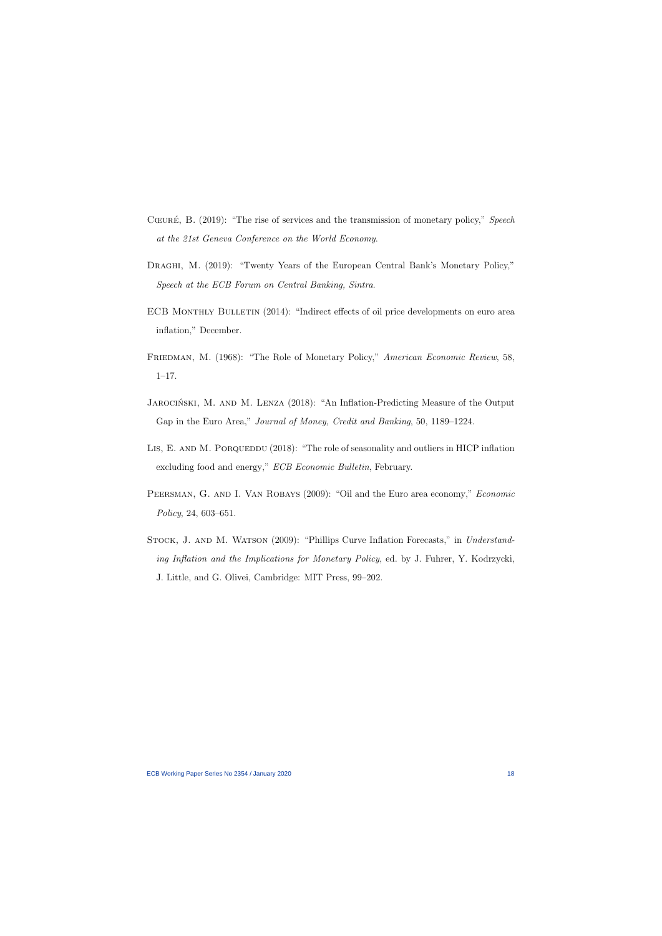- Cœure, B. (2019): "The rise of services and the transmission of monetary policy," *Speech at the 21st Geneva Conference on the World Economy*.
- DRAGHI, M. (2019): "Twenty Years of the European Central Bank's Monetary Policy," *Speech at the ECB Forum on Central Banking, Sintra*.
- ECB MONTHLY BULLETIN (2014): "Indirect effects of oil price developments on euro area inflation," December.
- FRIEDMAN, M. (1968): "The Role of Monetary Policy," *American Economic Review*, 58, 1–17.
- JAROCIŃSKI, M. AND M. LENZA (2018): "An Inflation-Predicting Measure of the Output Gap in the Euro Area," *Journal of Money, Credit and Banking*, 50, 1189–1224.
- LIS, E. AND M. PORQUEDDU (2018): "The role of seasonality and outliers in HICP inflation excluding food and energy," *ECB Economic Bulletin*, February.
- Peersman, G. and I. Van Robays (2009): "Oil and the Euro area economy," *Economic Policy*, 24, 603–651.
- STOCK, J. AND M. WATSON (2009): "Phillips Curve Inflation Forecasts," in *Understanding Inflation and the Implications for Monetary Policy*, ed. by J. Fuhrer, Y. Kodrzycki, J. Little, and G. Olivei, Cambridge: MIT Press, 99–202.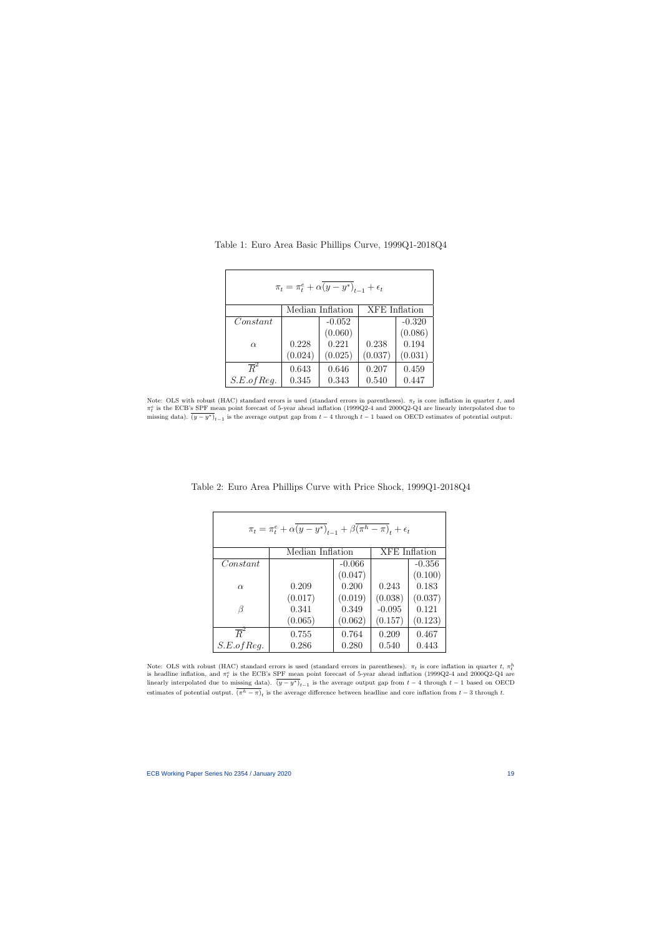| $\pi_t = \pi_t^e + \alpha (y - y^*)_{t-1} + \epsilon_t$ |                  |          |                      |          |  |  |
|---------------------------------------------------------|------------------|----------|----------------------|----------|--|--|
|                                                         | Median Inflation |          | <b>XFE</b> Inflation |          |  |  |
| Constant                                                |                  | $-0.052$ |                      | $-0.320$ |  |  |
|                                                         |                  | (0.060)  |                      | (0.086)  |  |  |
| $\alpha$                                                | 0.228            | 0.221    | 0.238                | 0.194    |  |  |
|                                                         | (0.024)          | (0.025)  | (0.037)              | (0.031)  |  |  |
| $\overline{R}^2$                                        | 0.643            | 0.646    | 0.207                | 0.459    |  |  |
| S.E. of Reg.                                            | 0.345            | 0.343    | 0.540                | 0.447    |  |  |

Table 1: Euro Area Basic Phillips Curve, 1999Q1-2018Q4

Note: OLS with robust (HAC) standard errors is used (standard errors in parentheses).  $\pi_t$  is core inflation in quarter  $t$ , and  $\pi_t^e$  is the ECB's SPF mean point forecast of 5-year ahead inflation (1999Q2-4 and 2000Q2-Q4 are linearly interpolated due to missing data).  $(y - y^*)_{{t-1}}$  is the average output gap from  $t-4$  through  $t-1$  based on OECD estimates of potential output.

| $\pi_t = \pi_t^e + \alpha (y - y^*)_{t-1} + \beta (\pi^h - \pi)_t + \epsilon_t$ |                  |          |                      |          |  |
|---------------------------------------------------------------------------------|------------------|----------|----------------------|----------|--|
|                                                                                 | Median Inflation |          | <b>XFE</b> Inflation |          |  |
| Constant                                                                        |                  | $-0.066$ |                      | $-0.356$ |  |
|                                                                                 |                  | (0.047)  |                      | (0.100)  |  |
| $\alpha$                                                                        | 0.209            | 0.200    | 0.243                | 0.183    |  |
|                                                                                 | (0.017)          | (0.019)  | (0.038)              | (0.037)  |  |
| B                                                                               | 0.341            | 0.349    | $-0.095$             | 0.121    |  |
|                                                                                 | (0.065)          | (0.062)  | (0.157)              | (0.123)  |  |
| $\overline{R}^2$                                                                | 0.755            | 0.764    | 0.209                | 0.467    |  |
| S.E. of Req.                                                                    | 0.286            | 0.280    | 0.540                | 0.443    |  |

Table 2: Euro Area Phillips Curve with Price Shock, 1999Q1-2018Q4

Note: OLS with robust (HAC) standard errors is used (standard errors in parentheses).  $\pi_t$  is core inflation in quarter  $t$ ,  $\pi_t^h$ is headline inflation, and  $\pi_t^e$  is the ECB's SPF mean point forecast of 5-year ahead inflation (1999Q2-4 and 2000Q2-Q4 are linearly interpolated due to missing data).  $(y - y^*)_{{t-1}}$  is the average output gap from  $t - 4$  through  $t - 1$  based on OECD estimates of potential output.  $(\pi^h - \pi)_t$  is the average difference between headline and core inflation from  $t-3$  through  $t$ .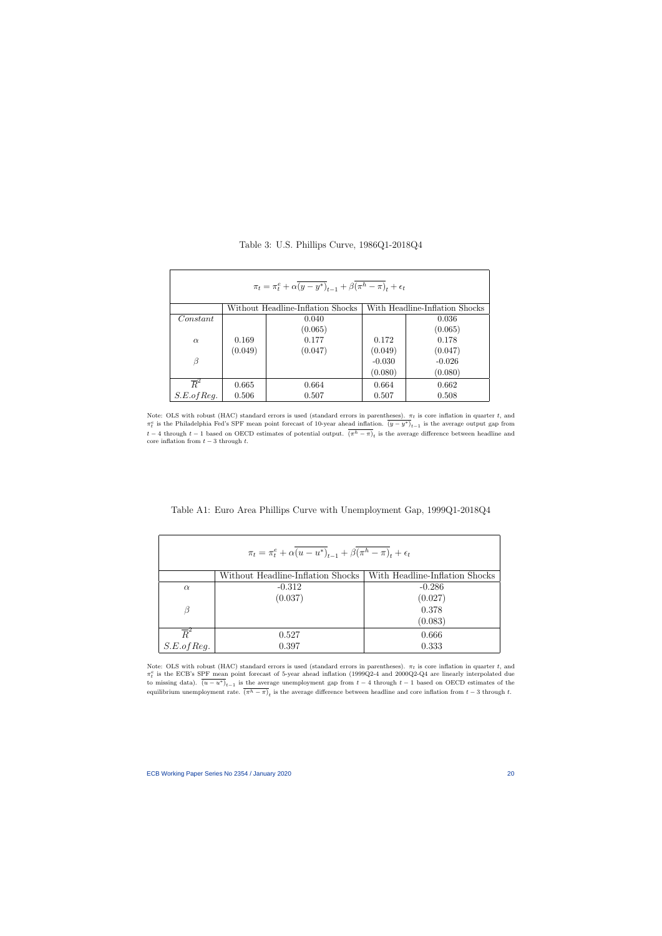| $\pi_t = \pi_t^e + \alpha \overline{(y-y^*)}_{t-1} + \beta (\pi^h - \pi)_t + \epsilon_t$ |                                                                     |         |          |          |  |
|------------------------------------------------------------------------------------------|---------------------------------------------------------------------|---------|----------|----------|--|
|                                                                                          | With Headline-Inflation Shocks<br>Without Headline-Inflation Shocks |         |          |          |  |
| Constant                                                                                 |                                                                     | 0.040   |          | 0.036    |  |
|                                                                                          |                                                                     | (0.065) |          | (0.065)  |  |
| $\alpha$                                                                                 | 0.169                                                               | 0.177   | 0.172    | 0.178    |  |
|                                                                                          | (0.049)                                                             | (0.047) | (0.049)  | (0.047)  |  |
| $\beta$                                                                                  |                                                                     |         | $-0.030$ | $-0.026$ |  |
|                                                                                          |                                                                     |         | (0.080)  | (0.080)  |  |
| $\overline{R}^2$                                                                         | 0.665                                                               | 0.664   | 0.664    | 0.662    |  |
| S.E. of Reg.                                                                             | 0.506                                                               | 0.507   | 0.507    | 0.508    |  |

Table 3: U.S. Phillips Curve, 1986Q1-2018Q4

Note: OLS with robust (HAC) standard errors is used (standard errors in parentheses).  $\pi_t$  is core inflation in quarter *t*, and  $\pi_t^e$  is the Philadelphia Fed's SPF mean point forecast of 10-year ahead inflation.  $\overline{(y-y^*)}_{t-1}$  is the average output gap from *t* − 4 through *t* − 1 based on OECD estimates of potential output.  $(π<sup>h</sup> − π)<sub>t</sub>$  is the average difference between headline and core inflation from  $t - 3$  through  $t$ .

Table A1: Euro Area Phillips Curve with Unemployment Gap, 1999Q1-2018Q4

| $\pi_t = \pi_t^e + \alpha (u - u^*)_{t-1} + \beta (\pi^h - \pi)_t + \epsilon_t$ |                                   |                                |  |  |
|---------------------------------------------------------------------------------|-----------------------------------|--------------------------------|--|--|
|                                                                                 | Without Headline-Inflation Shocks | With Headline-Inflation Shocks |  |  |
| $\alpha$                                                                        | $-0.312$                          | $-0.286$                       |  |  |
|                                                                                 | (0.037)                           | (0.027)                        |  |  |
| ß                                                                               |                                   | 0.378                          |  |  |
|                                                                                 |                                   | (0.083)                        |  |  |
| $\overline{R}^2$                                                                | 0.527                             | 0.666                          |  |  |
| S.E. of Req.                                                                    | 0.397                             | 0.333                          |  |  |

Note: OLS with robust (HAC) standard errors is used (standard errors in parentheses).  $\pi_t$  is core inflation in quarter  $t$ , and *π e t* is the ECB's SPF mean point forecast of 5-year ahead inflation (1999Q2-4 and 2000Q2-Q4 are linearly interpolated due to missing data).  $(u - u^*)_{{t-1}}$  is the average unemployment gap from  $t-4$  through  $t-1$  based on OECD estimates of the equilibrium unemployment rate.  $(\pi^h - \pi)_t$  is the average difference between headline and core inflation from  $t-3$  through  $t$ .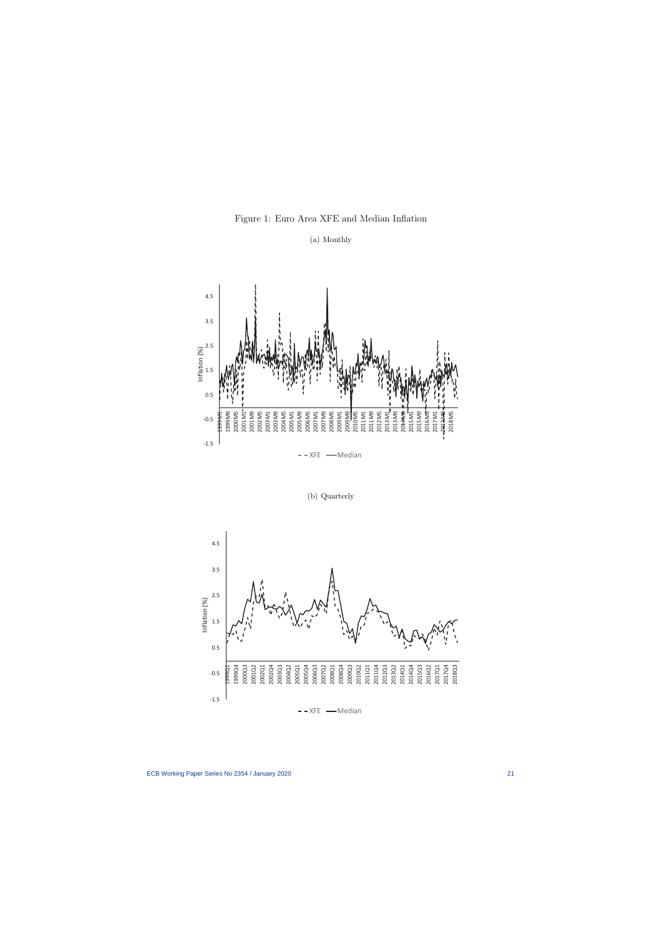

(a) Monthly

(b) Quarterly

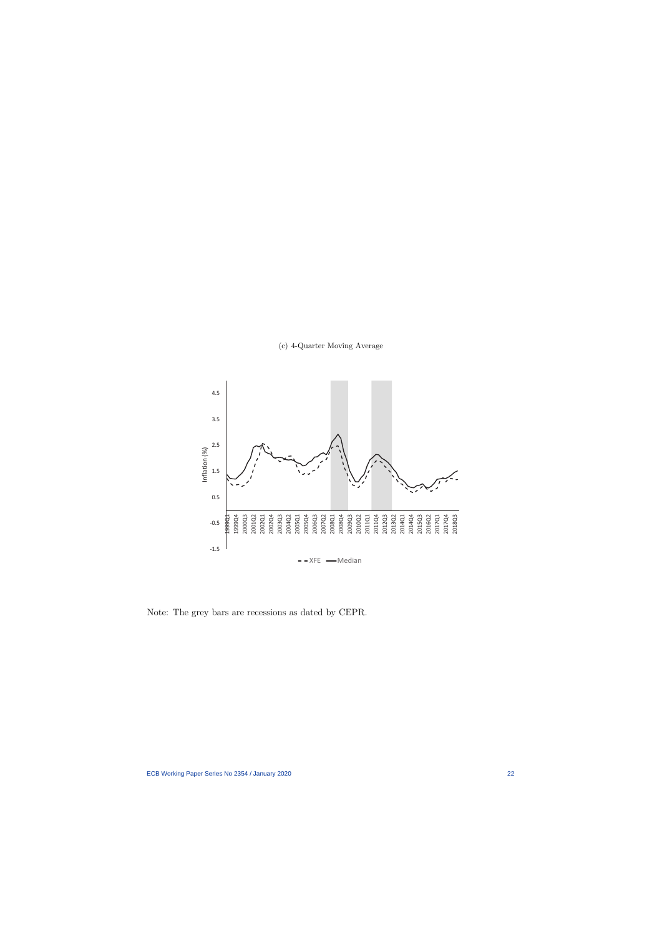



Note: The grey bars are recessions as dated by CEPR.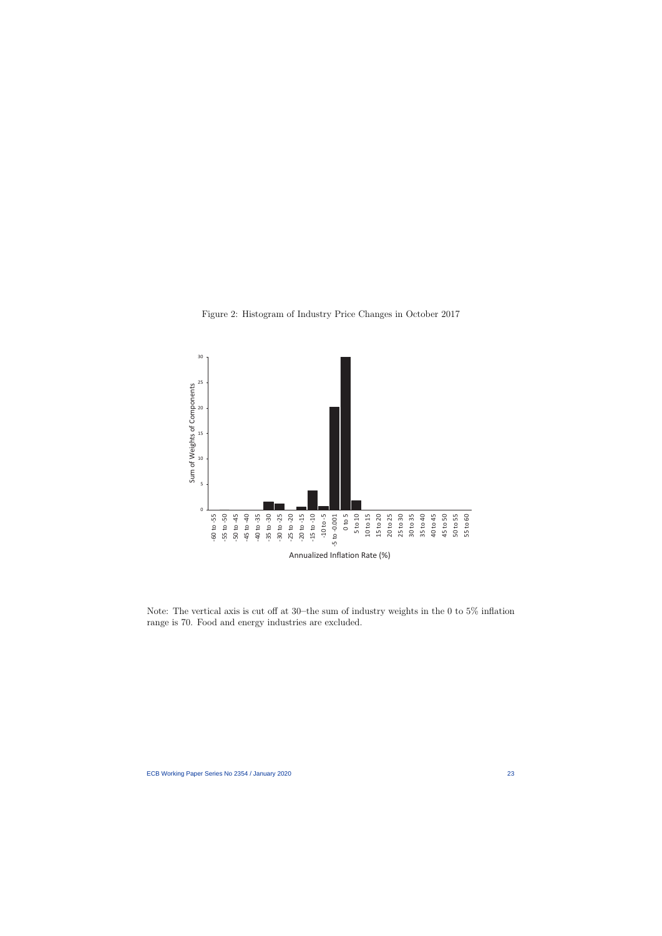Figure 2: Histogram of Industry Price Changes in October 2017



Note: The vertical axis is cut off at 30**–**the sum of industry weights in the 0 to 5% inflation range is 70. Food and energy industries are excluded.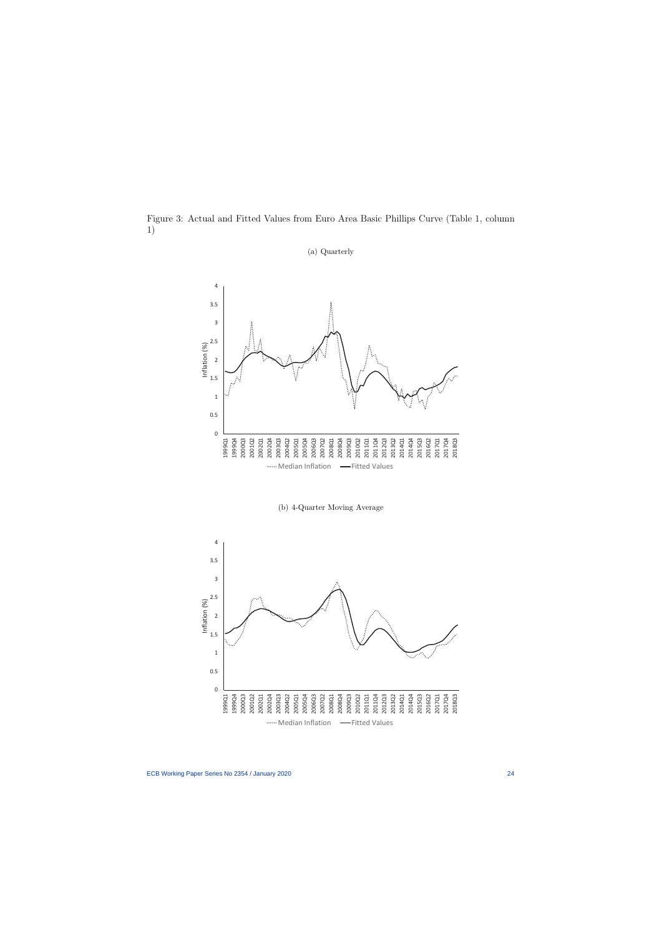Figure 3: Actual and Fitted Values from Euro Area Basic Phillips Curve (Table 1, column 1)



(a) Quarterly



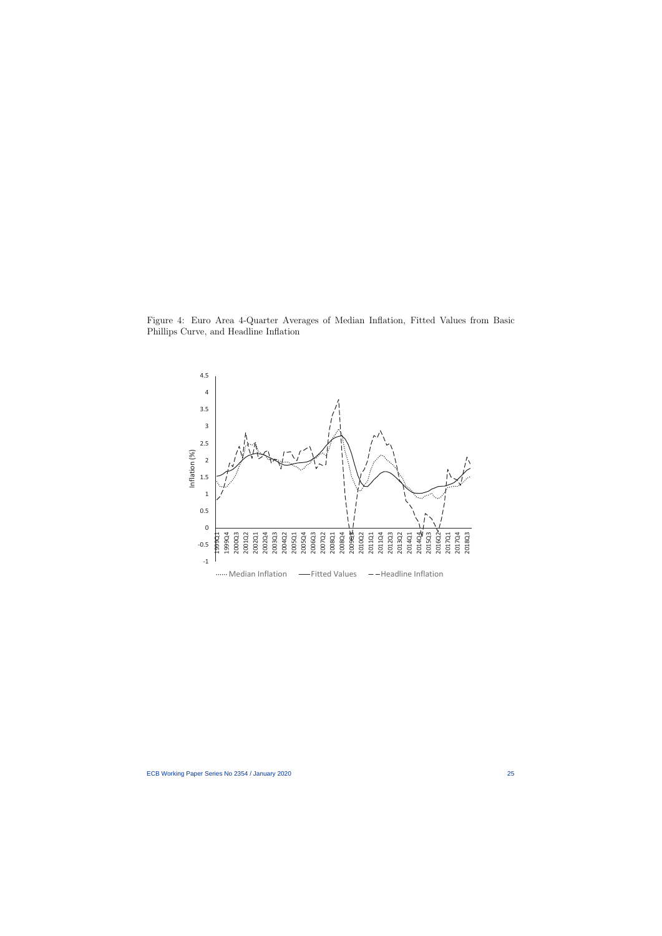Figure 4: Euro Area 4-Quarter Averages of Median Inflation, Fitted Values from Basic Phillips Curve, and Headline Inflation

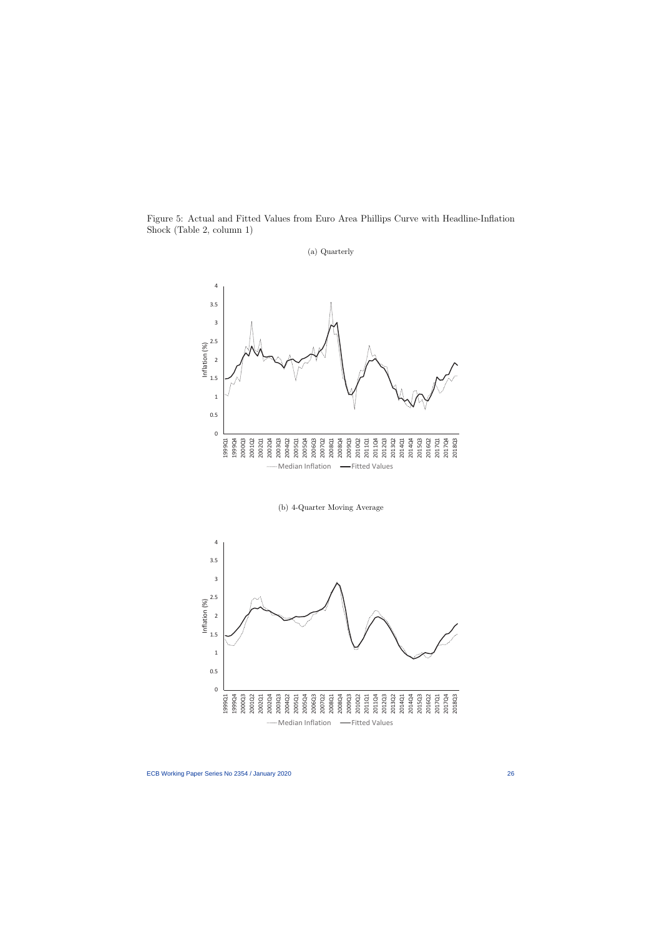Figure 5: Actual and Fitted Values from Euro Area Phillips Curve with Headline-Inflation Shock (Table 2, column 1)



(a) Quarterly

(b) 4-Quarter Moving Average

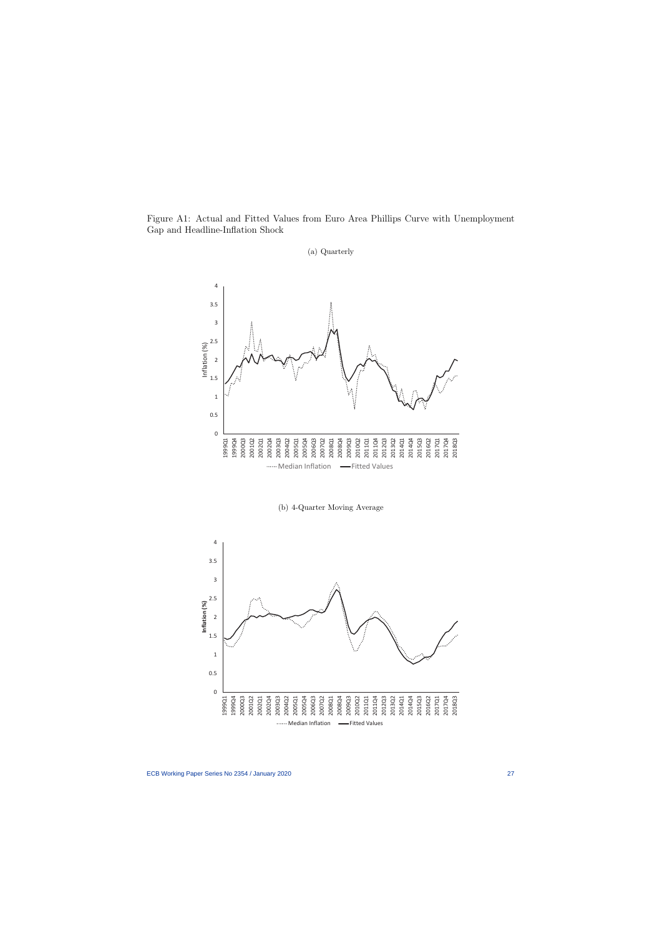Figure A1: Actual and Fitted Values from Euro Area Phillips Curve with Unemployment Gap and Headline-Inflation Shock



(a) Quarterly

(b) 4-Quarter Moving Average